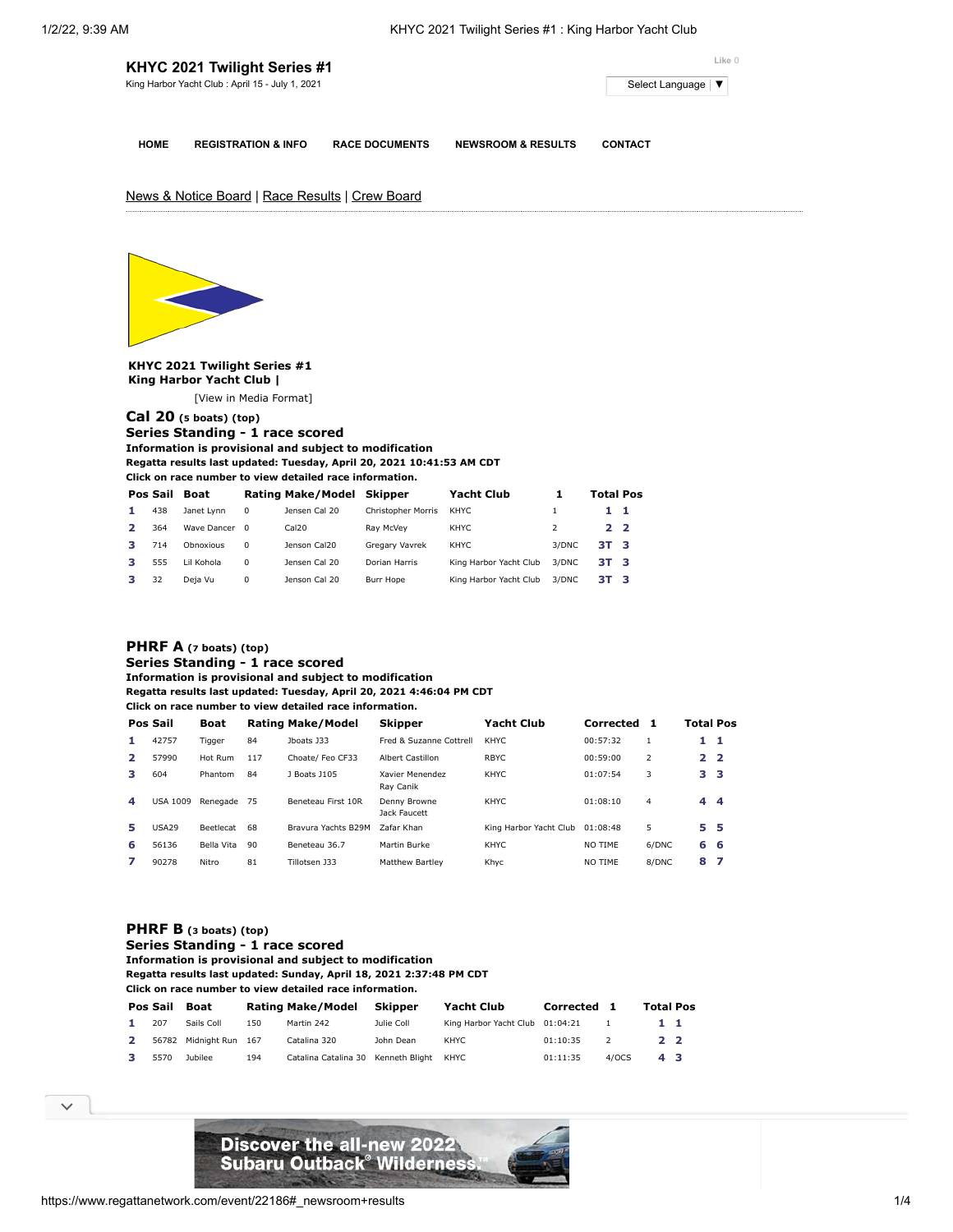# **KHYC 2021 Twilight Series #1**

King Harbor Yacht Club : April 15 - July 1, 2021 Select [Language](javascript:void(0)) | ▼ Select Language | ▼

**HOME REGISTRATION & INFO RACE DOCUMENTS NEWSROOM & RESULTS CONTACT**

**Like** 0

News & Notice Board | Race Results | Crew Board



**KHYC 2021 Twilight Series #1 King Harbor Yacht Club |**

[[View in Media Format](https://www.regattanetwork.com/clubmgmt/applet_regatta_results.php?regatta_id=22186&show_manufacturer=1&show_crew=1&media_format=1)]

## **[Cal 20](https://www.regattanetwork.com/clubmgmt/applet_regatta_results.php?regatta_id=22186&show_manufacturer=1&show_crew=1&limit_fleet=Cal+20) (5 boats) (top)**

**Series Standing - 1 race scored Information is provisional and subject to modification Regatta results last updated: Tuesday, April 20, 2021 10:41:53 AM CDT**

**Click on race number to view detailed race information.**

| Pos Sail | <b>Boat</b>   |          | <b>Rating Make/Model</b> | Skipper            | Yacht Club             |       | <b>Total Pos</b> |  |
|----------|---------------|----------|--------------------------|--------------------|------------------------|-------|------------------|--|
| 438      | Janet Lynn    | 0        | Jensen Cal 20            | Christopher Morris | KHYC                   |       | 11               |  |
| 364      | Wave Dancer 0 |          | Cal20                    | Rav McVev          | KHYC                   |       | 22               |  |
| 714      | Obnoxious     | $\Omega$ | Jenson Cal20             | Gregary Vavrek     | KHYC                   | 3/DNC | 3T 3             |  |
| 555      | Lil Kohola    | $\Omega$ | Jensen Cal 20            | Dorian Harris      | King Harbor Yacht Club | 3/DNC | 3T 3             |  |
| 32       | Deja Vu       | 0        | Jenson Cal 20            | Burr Hope          | King Harbor Yacht Club | 3/DNC | 3T 3             |  |

### **[PHRF A](https://www.regattanetwork.com/clubmgmt/applet_regatta_results.php?regatta_id=22186&show_manufacturer=1&show_crew=1&limit_fleet=PHRF+A) (7 boats) (top) Series Standing - 1 race scored**

**Information is provisional and subject to modification**

**Regatta results last updated: Tuesday, April 20, 2021 4:46:04 PM CDT**

**Click on race number to view detailed race information.**

|              | Pos Sail        | Boat             |     | <b>Rating Make/Model</b> | <b>Skipper</b>               | Yacht Club             | Corrected | 1              | Total Pos       |     |
|--------------|-----------------|------------------|-----|--------------------------|------------------------------|------------------------|-----------|----------------|-----------------|-----|
| 1            | 42757           | Tigger           | 84  | Iboats 133               | Fred & Suzanne Cottrell      | <b>KHYC</b>            | 00:57:32  |                | $1\quad1$       |     |
| $\mathbf{2}$ | 57990           | Hot Rum          | 117 | Choate/ Feo CF33         | Albert Castillon             | <b>RBYC</b>            | 00:59:00  | $\overline{2}$ | 2 <sub>2</sub>  |     |
| з            | 604             | Phantom          | 84  | 1 Boats 1105             | Xavier Menendez<br>Rav Canik | <b>KHYC</b>            | 01:07:54  | 3              | 3 <sub>3</sub>  |     |
| 4            | <b>USA 1009</b> | Renegade         | 75  | Beneteau First 10R       | Denny Browne<br>Jack Faucett | <b>KHYC</b>            | 01:08:10  | 4              | $4\overline{4}$ |     |
| 5.           | <b>USA29</b>    | <b>Beetlecat</b> | 68  | Bravura Yachts B29M      | Zafar Khan                   | King Harbor Yacht Club | 01:08:48  | 5              | 5 <sub>5</sub>  |     |
| 6            | 56136           | Bella Vita       | 90  | Beneteau 36.7            | Martin Burke                 | <b>KHYC</b>            | NO TIME   | 6/DNC          | 6 6             |     |
|              | 90278           | Nitro            | 81  | Tillotsen 133            | <b>Matthew Bartley</b>       | Khyc                   | NO TIME   | 8/DNC          | 8               | - 7 |

### **[PHRF B](https://www.regattanetwork.com/clubmgmt/applet_regatta_results.php?regatta_id=22186&show_manufacturer=1&show_crew=1&limit_fleet=PHRF+B) (3 boats) (top)**

#### **Series Standing - 1 race scored Information is provisional and subject to modification Regatta results last updated: Sunday, April 18, 2021 2:37:48 PM CDT Click on race number to view detailed race information.**

|              |      | Pos Sail Boat          |     | Rating Make/Model                   | Skipper    | Yacht Club                      | Corrected 1 |       | <b>Total Pos</b> |  |
|--------------|------|------------------------|-----|-------------------------------------|------------|---------------------------------|-------------|-------|------------------|--|
| 1.           | 207  | Sails Coll             | 150 | Martin 242                          | Julie Coll | King Harbor Yacht Club 01:04:21 |             |       | $1\quad1$        |  |
| $\mathbf{2}$ |      | 56782 Midnight Run 167 |     | Catalina 320                        | John Dean  | KHYC                            | 01:10:35    |       | 2 2              |  |
|              | 5570 | Jubilee                | 194 | Catalina Catalina 30 Kenneth Blight |            | KHYC                            | 01:11:35    | 4/0CS | 43               |  |

 $\checkmark$ 

**[V-Fleet](https://www.regattanetwork.com/clubmgmt/applet_regatta_results.php?regatta_id=22186&show_manufacturer=1&show_crew=1&limit_fleet=V-Fleet) (6 boats) (top) Series Standing Stranding Stranding Stranding Stranding Stranding Stranding Stranding Stranding Stranding Stranding Stranding Stranding Stranding Stranding Stranding Stranding Stranding Information is provided in the modification Register Support in 18, 2021 2:38 PM CDT**  $\sim$ 

**COLICE ON RACE NUMBER ON RACE IN THE VIEW OF REAL PROPERTY.**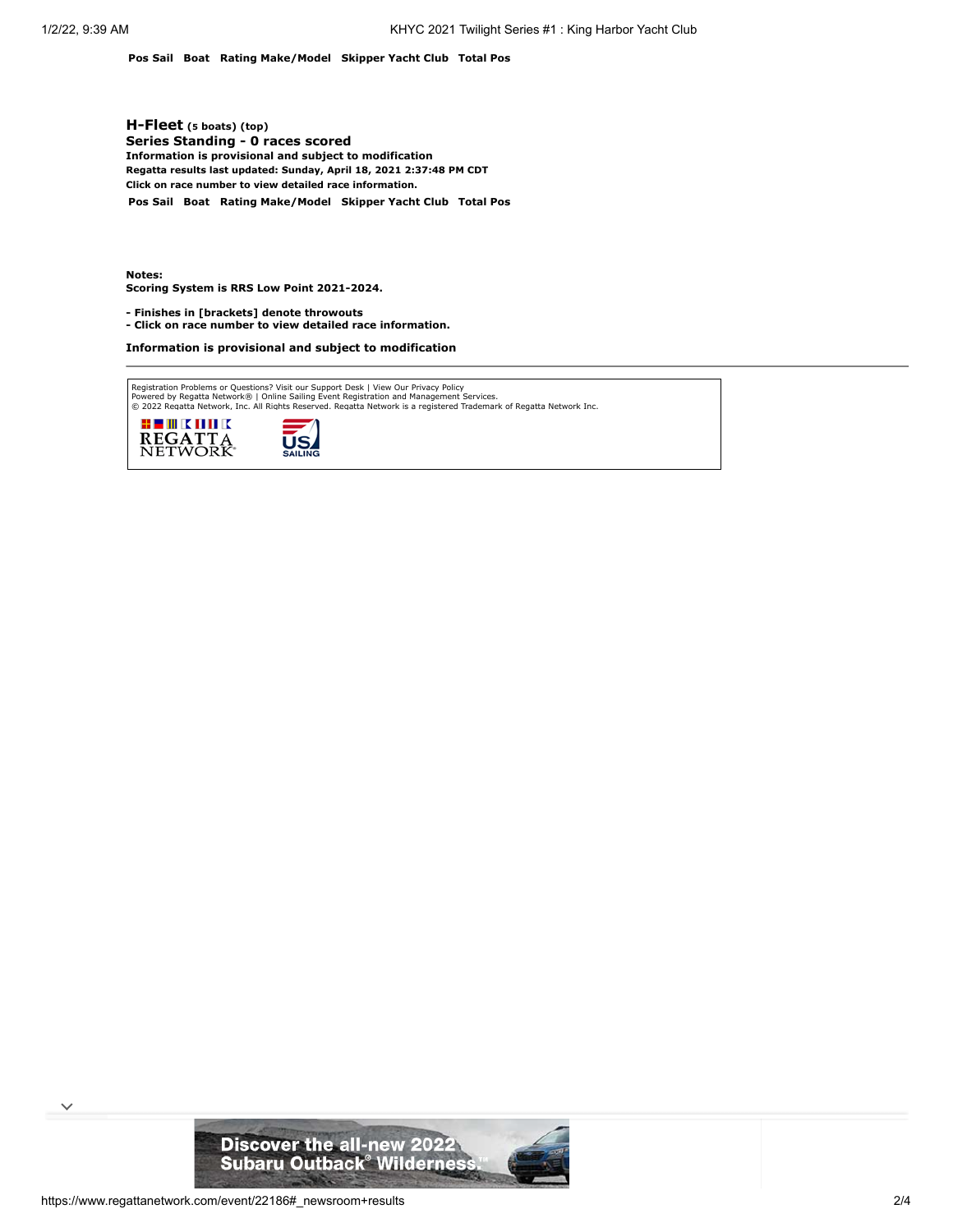**Pos Sail Boat Rating Make/Model Skipper Yacht Club Total Pos**

**[H-Fleet](https://www.regattanetwork.com/clubmgmt/applet_regatta_results.php?regatta_id=22186&show_manufacturer=1&show_crew=1&limit_fleet=H-Fleet) (5 boats) (top) Series Standing - 0 races scored Information is provisional and subject to modification Regatta results last updated: Sunday, April 18, 2021 2:37:48 PM CDT Click on race number to view detailed race information.**

**Pos Sail Boat Rating Make/Model Skipper Yacht Club Total Pos**

**Notes: Scoring System is RRS Low Point 2021-2024.**

**- Finishes in [brackets] denote throwouts** 

**- Click on race number to view detailed race information.**

**Information is provisional and subject to modification**

Registration Problems or Questions? [Visit our Support Desk](http://support.regattanetwork.com/) | [View Our Privacy Policy](https://www.regattanetwork.com/html/privacy.html)<br>[Powered by Regatta Network®](http://www.regattanetwork.com/) | Online Sailing Event Registration and Management Services.<br>© 2022 [Regatta Network,](http://www.regattanetwork.com/) Inc. All Rights Reserved





 $\checkmark$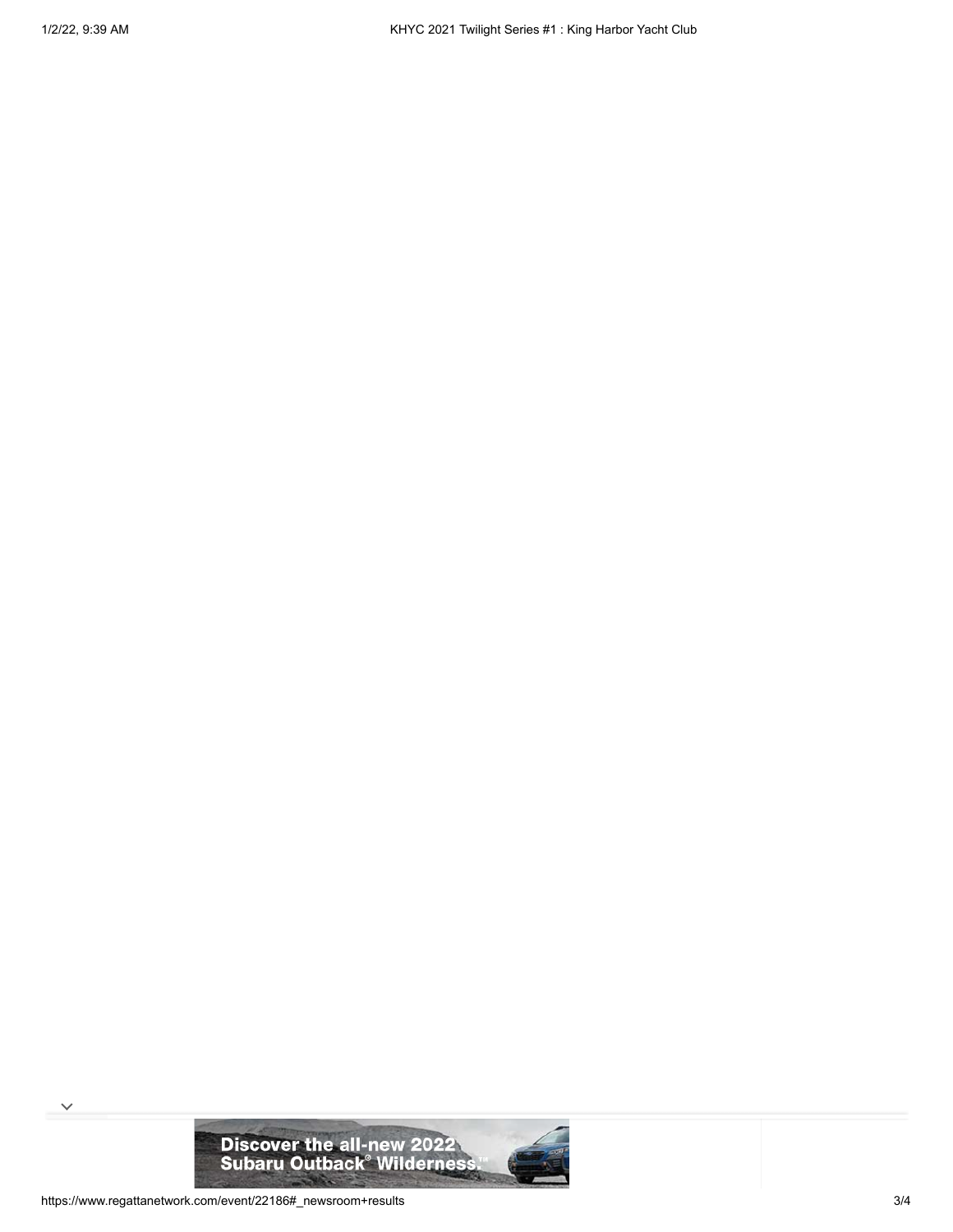

 $\checkmark$